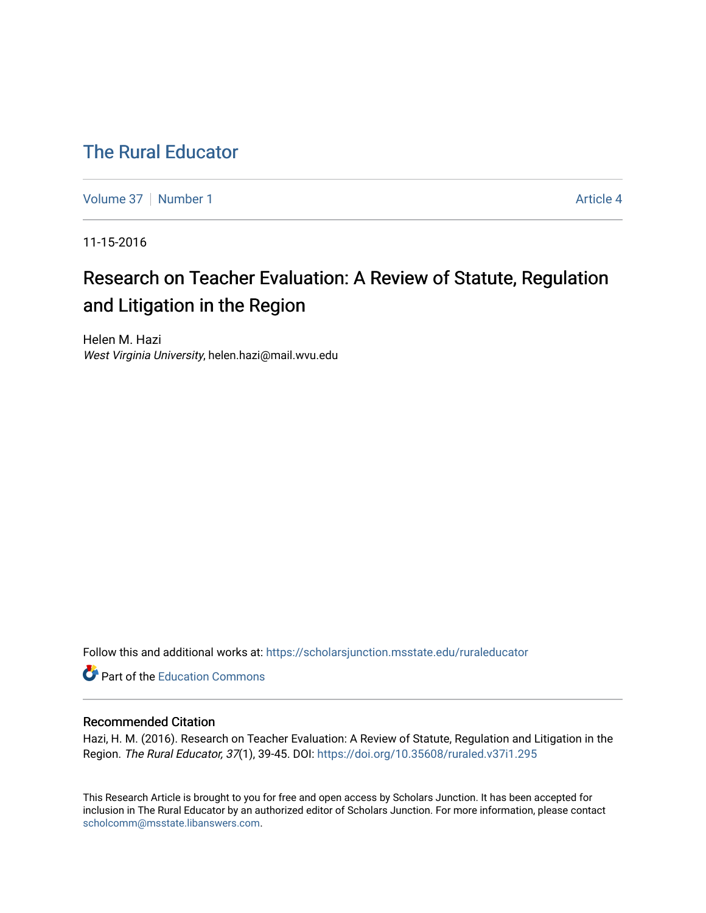# [The Rural Educator](https://scholarsjunction.msstate.edu/ruraleducator)

[Volume 37](https://scholarsjunction.msstate.edu/ruraleducator/vol37) [Number 1](https://scholarsjunction.msstate.edu/ruraleducator/vol37/iss1) Article 4

11-15-2016

# Research on Teacher Evaluation: A Review of Statute, Regulation and Litigation in the Region

Helen M. Hazi West Virginia University, helen.hazi@mail.wvu.edu

Follow this and additional works at: [https://scholarsjunction.msstate.edu/ruraleducator](https://scholarsjunction.msstate.edu/ruraleducator?utm_source=scholarsjunction.msstate.edu%2Fruraleducator%2Fvol37%2Fiss1%2F4&utm_medium=PDF&utm_campaign=PDFCoverPages)

**C** Part of the [Education Commons](http://network.bepress.com/hgg/discipline/784?utm_source=scholarsjunction.msstate.edu%2Fruraleducator%2Fvol37%2Fiss1%2F4&utm_medium=PDF&utm_campaign=PDFCoverPages)

# Recommended Citation

Hazi, H. M. (2016). Research on Teacher Evaluation: A Review of Statute, Regulation and Litigation in the Region. The Rural Educator, 37(1), 39-45. DOI:<https://doi.org/10.35608/ruraled.v37i1.295>

This Research Article is brought to you for free and open access by Scholars Junction. It has been accepted for inclusion in The Rural Educator by an authorized editor of Scholars Junction. For more information, please contact [scholcomm@msstate.libanswers.com.](mailto:scholcomm@msstate.libanswers.com)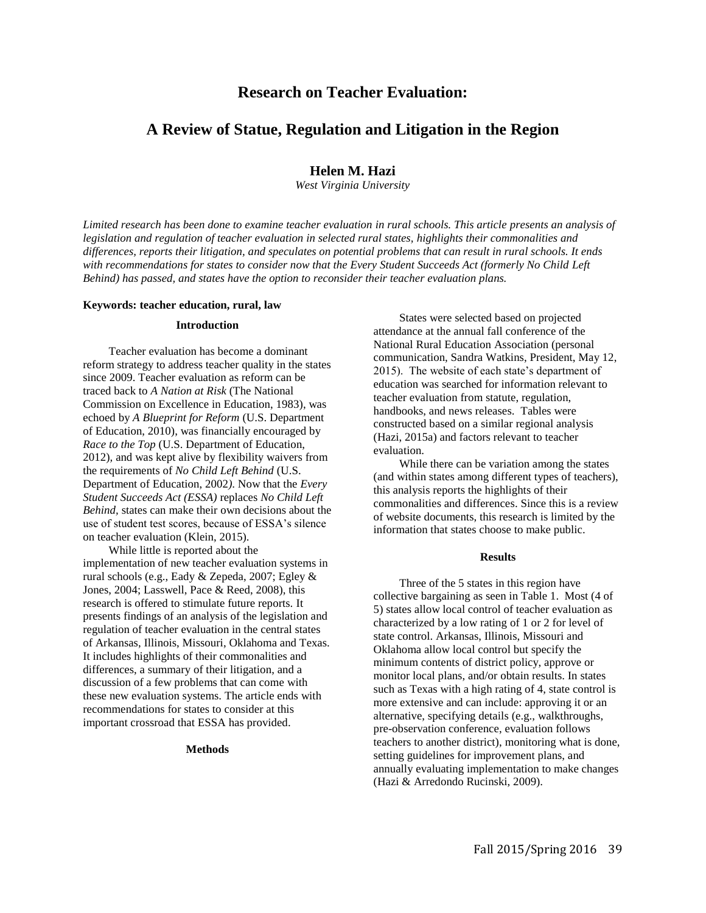# **Research on Teacher Evaluation:**

# **A Review of Statue, Regulation and Litigation in the Region**

## **Helen M. Hazi**

*West Virginia University* 

*Limited research has been done to examine teacher evaluation in rural schools. This article presents an analysis of legislation and regulation of teacher evaluation in selected rural states, highlights their commonalities and differences, reports their litigation, and speculates on potential problems that can result in rural schools. It ends*  with recommendations for states to consider now that the Every Student Succeeds Act (formerly No Child Left *Behind) has passed, and states have the option to reconsider their teacher evaluation plans.* 

### **Keywords: teacher education, rural, law**

#### **Introduction**

Teacher evaluation has become a dominant reform strategy to address teacher quality in the states since 2009. Teacher evaluation as reform can be traced back to *A Nation at Risk* (The National Commission on Excellence in Education, 1983), was echoed by *A Blueprint for Reform* (U.S. Department of Education, 2010), was financially encouraged by *Race to the Top* (U.S. Department of Education, 2012)*,* and was kept alive by flexibility waivers from the requirements of *No Child Left Behind* (U.S. Department of Education, 2002*)*. Now that the *Every Student Succeeds Act (ESSA)* replaces *No Child Left Behind,* states can make their own decisions about the use of student test scores, because of ESSA's silence on teacher evaluation (Klein, 2015).

While little is reported about the implementation of new teacher evaluation systems in rural schools (e.g., Eady & Zepeda, 2007; Egley & Jones, 2004; Lasswell, Pace & Reed, 2008), this research is offered to stimulate future reports. It presents findings of an analysis of the legislation and regulation of teacher evaluation in the central states of Arkansas, Illinois, Missouri, Oklahoma and Texas. It includes highlights of their commonalities and differences, a summary of their litigation, and a discussion of a few problems that can come with these new evaluation systems. The article ends with recommendations for states to consider at this important crossroad that ESSA has provided.

### **Methods**

States were selected based on projected attendance at the annual fall conference of the National Rural Education Association (personal communication, Sandra Watkins, President, May 12, 2015). The website of each state's department of education was searched for information relevant to teacher evaluation from statute, regulation, handbooks, and news releases. Tables were constructed based on a similar regional analysis (Hazi, 2015a) and factors relevant to teacher evaluation.

While there can be variation among the states (and within states among different types of teachers), this analysis reports the highlights of their commonalities and differences. Since this is a review of website documents, this research is limited by the information that states choose to make public.

#### **Results**

Three of the 5 states in this region have collective bargaining as seen in Table 1. Most (4 of 5) states allow local control of teacher evaluation as characterized by a low rating of 1 or 2 for level of state control. Arkansas, Illinois, Missouri and Oklahoma allow local control but specify the minimum contents of district policy, approve or monitor local plans, and/or obtain results. In states such as Texas with a high rating of 4, state control is more extensive and can include: approving it or an alternative, specifying details (e.g., walkthroughs, pre-observation conference, evaluation follows teachers to another district), monitoring what is done, setting guidelines for improvement plans, and annually evaluating implementation to make changes (Hazi & Arredondo Rucinski, 2009).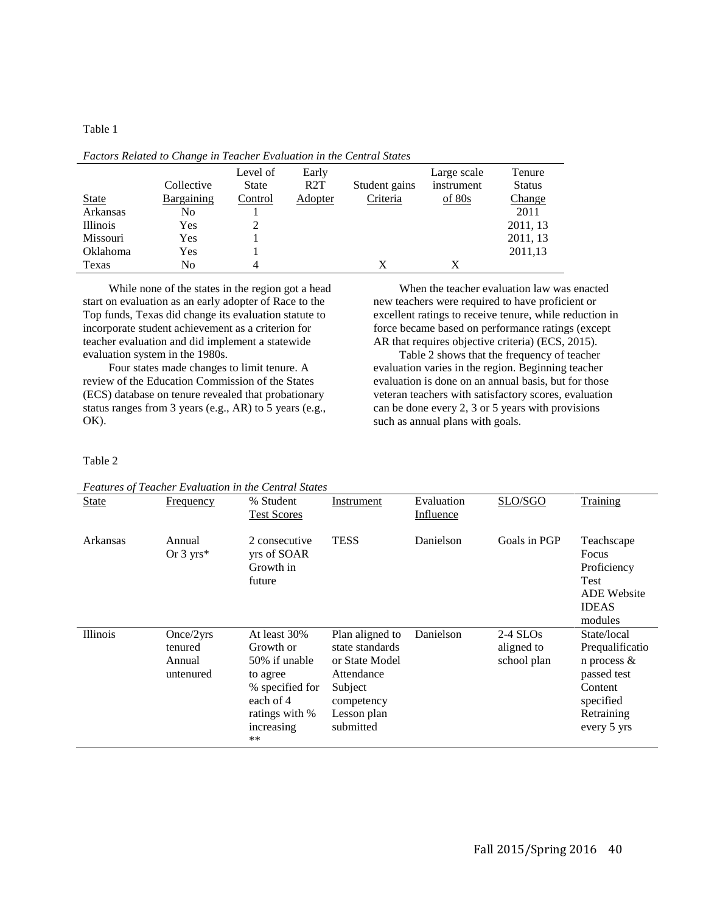Table 1

|                 | Collective | Level of<br>State | Early<br>R2T | Student gains | Large scale<br>instrument | Tenure<br><b>Status</b> |
|-----------------|------------|-------------------|--------------|---------------|---------------------------|-------------------------|
| <b>State</b>    | Bargaining | Control           | Adopter      | Criteria      | of 80s                    | <b>Change</b>           |
| Arkansas        | No         |                   |              |               |                           | 2011                    |
| <b>Illinois</b> | Yes        |                   |              |               |                           | 2011, 13                |
| Missouri        | Yes        |                   |              |               |                           | 2011, 13                |
| Oklahoma        | Yes        |                   |              |               |                           | 2011,13                 |
| Texas           | No         | 4                 |              | X             |                           |                         |

*Factors Related to Change in Teacher Evaluation in the Central States* 

While none of the states in the region got a head start on evaluation as an early adopter of Race to the Top funds, Texas did change its evaluation statute to incorporate student achievement as a criterion for teacher evaluation and did implement a statewide evaluation system in the 1980s.

Four states made changes to limit tenure. A review of the Education Commission of the States (ECS) database on tenure revealed that probationary status ranges from 3 years (e.g., AR) to 5 years (e.g., OK).

When the teacher evaluation law was enacted new teachers were required to have proficient or excellent ratings to receive tenure, while reduction in force became based on performance ratings (except AR that requires objective criteria) (ECS, 2015).

Table 2 shows that the frequency of teacher evaluation varies in the region. Beginning teacher evaluation is done on an annual basis, but for those veteran teachers with satisfactory scores, evaluation can be done every 2, 3 or 5 years with provisions such as annual plans with goals.

Table 2

*Features of Teacher Evaluation in the Central States* 

|              | Pearlies of Teacher Evaluation in the Central States |                                                                                                                              |                                                                                                                         |                                |                                         |                                                                                                                      |
|--------------|------------------------------------------------------|------------------------------------------------------------------------------------------------------------------------------|-------------------------------------------------------------------------------------------------------------------------|--------------------------------|-----------------------------------------|----------------------------------------------------------------------------------------------------------------------|
| <b>State</b> | <b>Frequency</b>                                     | % Student<br><b>Test Scores</b>                                                                                              | Instrument                                                                                                              | Evaluation<br><b>Influence</b> | SLO/SGO                                 | Training                                                                                                             |
| Arkansas     | Annual<br>Or $3 \text{ yrs}^*$                       | 2 consecutive<br>yrs of SOAR<br>Growth in<br>future                                                                          | <b>TESS</b>                                                                                                             | Danielson                      | Goals in PGP                            | Teachscape<br>Focus<br>Proficiency<br><b>Test</b><br><b>ADE Website</b><br><b>IDEAS</b><br>modules                   |
| Illinois     | Once/2yrs<br>tenured<br>Annual<br>untenured          | At least 30%<br>Growth or<br>50% if unable<br>to agree<br>% specified for<br>each of 4<br>ratings with %<br>increasing<br>** | Plan aligned to<br>state standards<br>or State Model<br>Attendance<br>Subject<br>competency<br>Lesson plan<br>submitted | Danielson                      | $2-4$ SLOs<br>aligned to<br>school plan | State/local<br>Prequalificatio<br>n process $\&$<br>passed test<br>Content<br>specified<br>Retraining<br>every 5 yrs |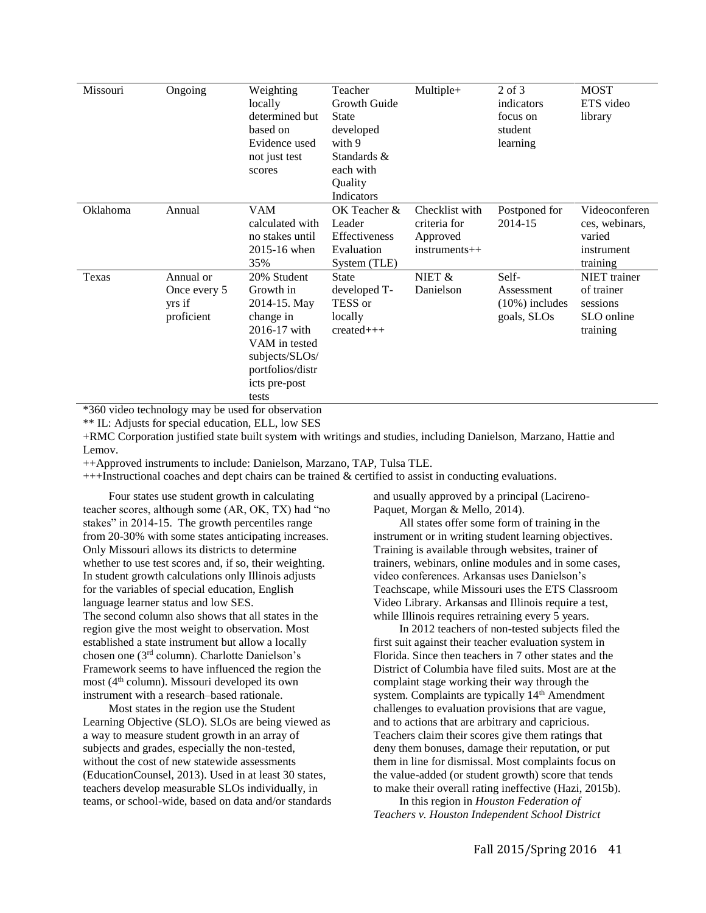| Missouri | Ongoing                                           | Weighting<br>locally<br>determined but<br>based on<br>Evidence used<br>not just test<br>scores                                                         | Teacher<br>Growth Guide<br><b>State</b><br>developed<br>with 9<br>Standards &<br>each with<br>Quality<br>Indicators | Multiple+                                                   | $2$ of $3$<br>indicators<br>focus on<br>student<br>learning | <b>MOST</b><br>ETS video<br>library                                     |
|----------|---------------------------------------------------|--------------------------------------------------------------------------------------------------------------------------------------------------------|---------------------------------------------------------------------------------------------------------------------|-------------------------------------------------------------|-------------------------------------------------------------|-------------------------------------------------------------------------|
| Oklahoma | Annual                                            | <b>VAM</b><br>calculated with<br>no stakes until<br>2015-16 when<br>35%                                                                                | OK Teacher &<br>Leader<br>Effectiveness<br>Evaluation<br>System (TLE)                                               | Checklist with<br>criteria for<br>Approved<br>instruments++ | Postponed for<br>2014-15                                    | Videoconferen<br>ces, webinars,<br>varied<br>instrument<br>training     |
| Texas    | Annual or<br>Once every 5<br>yrs if<br>proficient | 20% Student<br>Growth in<br>2014-15. May<br>change in<br>2016-17 with<br>VAM in tested<br>subjects/SLOs/<br>portfolios/distr<br>icts pre-post<br>tests | <b>State</b><br>developed T-<br>TESS or<br>locally<br>$created++$                                                   | NIET &<br>Danielson                                         | Self-<br>Assessment<br>$(10\%)$ includes<br>goals, SLOs     | <b>NIET</b> trainer<br>of trainer<br>sessions<br>SLO online<br>training |

\*360 video technology may be used for observation

\*\* IL: Adjusts for special education, ELL, low SES

+RMC Corporation justified state built system with writings and studies, including Danielson, Marzano, Hattie and Lemov.

++Approved instruments to include: Danielson, Marzano, TAP, Tulsa TLE.

+++Instructional coaches and dept chairs can be trained & certified to assist in conducting evaluations.

Four states use student growth in calculating teacher scores, although some (AR, OK, TX) had "no stakes" in 2014-15. The growth percentiles range from 20-30% with some states anticipating increases. Only Missouri allows its districts to determine whether to use test scores and, if so, their weighting. In student growth calculations only Illinois adjusts for the variables of special education, English language learner status and low SES.

The second column also shows that all states in the region give the most weight to observation. Most established a state instrument but allow a locally chosen one (3rd column). Charlotte Danielson's Framework seems to have influenced the region the most (4th column). Missouri developed its own instrument with a research–based rationale.

Most states in the region use the Student Learning Objective (SLO). SLOs are being viewed as a way to measure student growth in an array of subjects and grades, especially the non-tested, without the cost of new statewide assessments (EducationCounsel, 2013). Used in at least 30 states, teachers develop measurable SLOs individually, in teams, or school-wide, based on data and/or standards and usually approved by a principal (Lacireno-Paquet, Morgan & Mello, 2014).

All states offer some form of training in the instrument or in writing student learning objectives. Training is available through websites, trainer of trainers, webinars, online modules and in some cases, video conferences. Arkansas uses Danielson's Teachscape, while Missouri uses the ETS Classroom Video Library. Arkansas and Illinois require a test, while Illinois requires retraining every 5 years.

In 2012 teachers of non-tested subjects filed the first suit against their teacher evaluation system in Florida. Since then teachers in 7 other states and the District of Columbia have filed suits. Most are at the complaint stage working their way through the system. Complaints are typically 14<sup>th</sup> Amendment challenges to evaluation provisions that are vague, and to actions that are arbitrary and capricious. Teachers claim their scores give them ratings that deny them bonuses, damage their reputation, or put them in line for dismissal. Most complaints focus on the value-added (or student growth) score that tends to make their overall rating ineffective (Hazi, 2015b).

In this region in *Houston Federation of Teachers v. Houston Independent School District*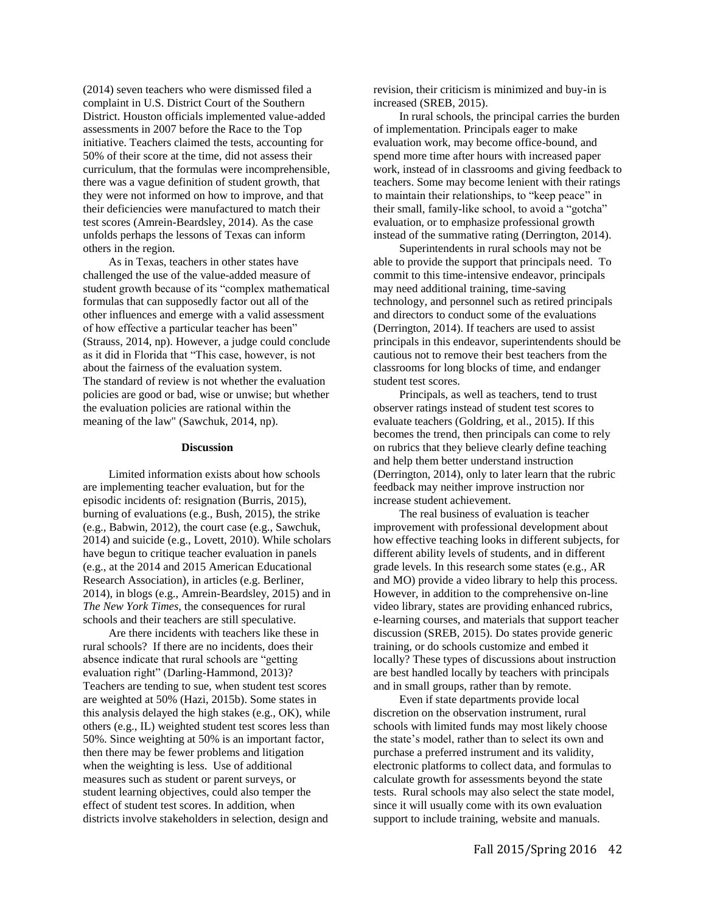(2014) seven teachers who were dismissed filed a complaint in U.S. District Court of the Southern District. Houston officials implemented value-added assessments in 2007 before the Race to the Top initiative. Teachers claimed the tests, accounting for 50% of their score at the time, did not assess their curriculum, that the formulas were incomprehensible, there was a vague definition of student growth, that they were not informed on how to improve, and that their deficiencies were manufactured to match their test scores (Amrein-Beardsley, 2014). As the case unfolds perhaps the lessons of Texas can inform others in the region.

As in Texas, teachers in other states have challenged the use of the value-added measure of student growth because of its "complex mathematical formulas that can supposedly factor out all of the other influences and emerge with a valid assessment of how effective a particular teacher has been" (Strauss, 2014, np). However, a judge could conclude as it did in Florida that "This case, however, is not about the fairness of the evaluation system. The standard of review is not whether the evaluation policies are good or bad, wise or unwise; but whether the evaluation policies are rational within the meaning of the law" (Sawchuk, 2014, np).

#### **Discussion**

Limited information exists about how schools are implementing teacher evaluation, but for the episodic incidents of: resignation (Burris, 2015), burning of evaluations (e.g., Bush, 2015), the strike (e.g., Babwin, 2012), the court case (e.g., Sawchuk, 2014) and suicide (e.g., Lovett, 2010). While scholars have begun to critique teacher evaluation in panels (e.g., at the 2014 and 2015 American Educational Research Association), in articles (e.g. Berliner, 2014), in blogs (e.g., Amrein-Beardsley, 2015) and in *The New York Times,* the consequences for rural schools and their teachers are still speculative.

Are there incidents with teachers like these in rural schools? If there are no incidents, does their absence indicate that rural schools are "getting evaluation right" (Darling-Hammond, 2013)? Teachers are tending to sue, when student test scores are weighted at 50% (Hazi, 2015b). Some states in this analysis delayed the high stakes (e.g., OK), while others (e.g., IL) weighted student test scores less than 50%. Since weighting at 50% is an important factor, then there may be fewer problems and litigation when the weighting is less. Use of additional measures such as student or parent surveys, or student learning objectives, could also temper the effect of student test scores. In addition, when districts involve stakeholders in selection, design and

revision, their criticism is minimized and buy-in is increased (SREB, 2015).

In rural schools, the principal carries the burden of implementation. Principals eager to make evaluation work, may become office-bound, and spend more time after hours with increased paper work, instead of in classrooms and giving feedback to teachers. Some may become lenient with their ratings to maintain their relationships, to "keep peace" in their small, family-like school, to avoid a "gotcha" evaluation, or to emphasize professional growth instead of the summative rating (Derrington, 2014).

Superintendents in rural schools may not be able to provide the support that principals need. To commit to this time-intensive endeavor, principals may need additional training, time-saving technology, and personnel such as retired principals and directors to conduct some of the evaluations (Derrington, 2014). If teachers are used to assist principals in this endeavor, superintendents should be cautious not to remove their best teachers from the classrooms for long blocks of time, and endanger student test scores.

Principals, as well as teachers, tend to trust observer ratings instead of student test scores to evaluate teachers (Goldring, et al., 2015). If this becomes the trend, then principals can come to rely on rubrics that they believe clearly define teaching and help them better understand instruction (Derrington, 2014), only to later learn that the rubric feedback may neither improve instruction nor increase student achievement.

The real business of evaluation is teacher improvement with professional development about how effective teaching looks in different subjects, for different ability levels of students, and in different grade levels. In this research some states (e.g., AR and MO) provide a video library to help this process. However, in addition to the comprehensive on-line video library, states are providing enhanced rubrics, e-learning courses, and materials that support teacher discussion (SREB, 2015). Do states provide generic training, or do schools customize and embed it locally? These types of discussions about instruction are best handled locally by teachers with principals and in small groups, rather than by remote.

Even if state departments provide local discretion on the observation instrument, rural schools with limited funds may most likely choose the state's model, rather than to select its own and purchase a preferred instrument and its validity, electronic platforms to collect data, and formulas to calculate growth for assessments beyond the state tests. Rural schools may also select the state model, since it will usually come with its own evaluation support to include training, website and manuals.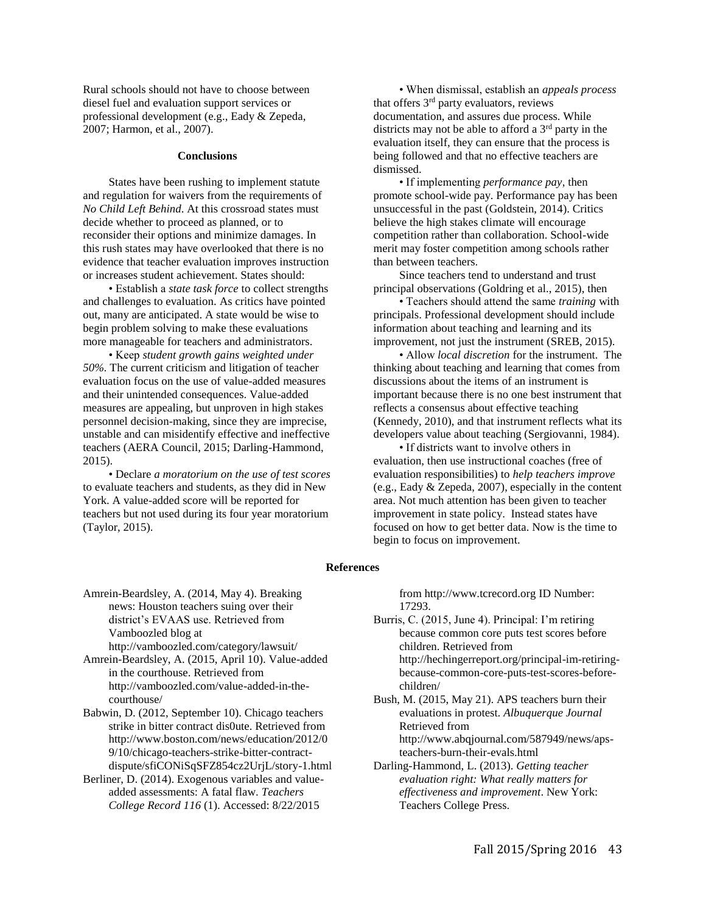Rural schools should not have to choose between diesel fuel and evaluation support services or professional development (e.g., Eady & Zepeda, 2007; Harmon, et al., 2007).

#### **Conclusions**

States have been rushing to implement statute and regulation for waivers from the requirements of *No Child Left Behind*. At this crossroad states must decide whether to proceed as planned, or to reconsider their options and minimize damages. In this rush states may have overlooked that there is no evidence that teacher evaluation improves instruction or increases student achievement. States should:

• Establish a *state task force* to collect strengths and challenges to evaluation. As critics have pointed out, many are anticipated. A state would be wise to begin problem solving to make these evaluations more manageable for teachers and administrators.

• Keep *student growth gains weighted under 50%.* The current criticism and litigation of teacher evaluation focus on the use of value-added measures and their unintended consequences. Value-added measures are appealing, but unproven in high stakes personnel decision-making, since they are imprecise, unstable and can misidentify effective and ineffective teachers (AERA Council, 2015; Darling-Hammond, 2015).

• Declare *a moratorium on the use of test scores* to evaluate teachers and students, as they did in New York. A value-added score will be reported for teachers but not used during its four year moratorium (Taylor, 2015).

• When dismissal, establish an *appeals process* that offers  $3<sup>rd</sup>$  party evaluators, reviews documentation, and assures due process. While districts may not be able to afford a  $3<sup>rd</sup>$  party in the evaluation itself, they can ensure that the process is being followed and that no effective teachers are dismissed.

• If implementing *performance pay*, then promote school-wide pay. Performance pay has been unsuccessful in the past (Goldstein, 2014). Critics believe the high stakes climate will encourage competition rather than collaboration. School-wide merit may foster competition among schools rather than between teachers.

Since teachers tend to understand and trust principal observations (Goldring et al., 2015), then

• Teachers should attend the same *training* with principals. Professional development should include information about teaching and learning and its improvement, not just the instrument (SREB, 2015).

• Allow *local discretion* for the instrument. The thinking about teaching and learning that comes from discussions about the items of an instrument is important because there is no one best instrument that reflects a consensus about effective teaching (Kennedy, 2010), and that instrument reflects what its developers value about teaching (Sergiovanni, 1984).

• If districts want to involve others in evaluation, then use instructional coaches (free of evaluation responsibilities) to *help teachers improve* (e.g., Eady & Zepeda, 2007), especially in the content area. Not much attention has been given to teacher improvement in state policy. Instead states have focused on how to get better data. Now is the time to begin to focus on improvement.

#### **References**

Amrein-Beardsley, A. (2014, May 4). Breaking news: Houston teachers suing over their district's EVAAS use. Retrieved from Vamboozled blog at http://vamboozled.com/category/lawsuit/

Amrein-Beardsley, A. (2015, April 10). Value-added in the courthouse. Retrieved from http://vamboozled.com/value-added-in-thecourthouse/

Babwin, D. (2012, September 10). Chicago teachers strike in bitter contract dis0ute. Retrieved from http://www.boston.com/news/education/2012/0 9/10/chicago-teachers-strike-bitter-contractdispute/sfiCONiSqSFZ854cz2UrjL/story-1.html

Berliner, D. (2014). Exogenous variables and valueadded assessments: A fatal flaw. *Teachers College Record 116* (1). Accessed: 8/22/2015

from http://www.tcrecord.org ID Number: 17293.

Burris, C. (2015, June 4). Principal: I'm retiring because common core puts test scores before children. Retrieved from http://hechingerreport.org/principal-im-retiringbecause-common-core-puts-test-scores-beforechildren/

Bush, M. (2015, May 21). APS teachers burn their evaluations in protest. *Albuquerque Journal* Retrieved from http://www.abqjournal.com/587949/news/aps-

teachers-burn-their-evals.html Darling-Hammond, L. (2013). *Getting teacher evaluation right: What really matters for* 

*effectiveness and improvement*. New York: Teachers College Press.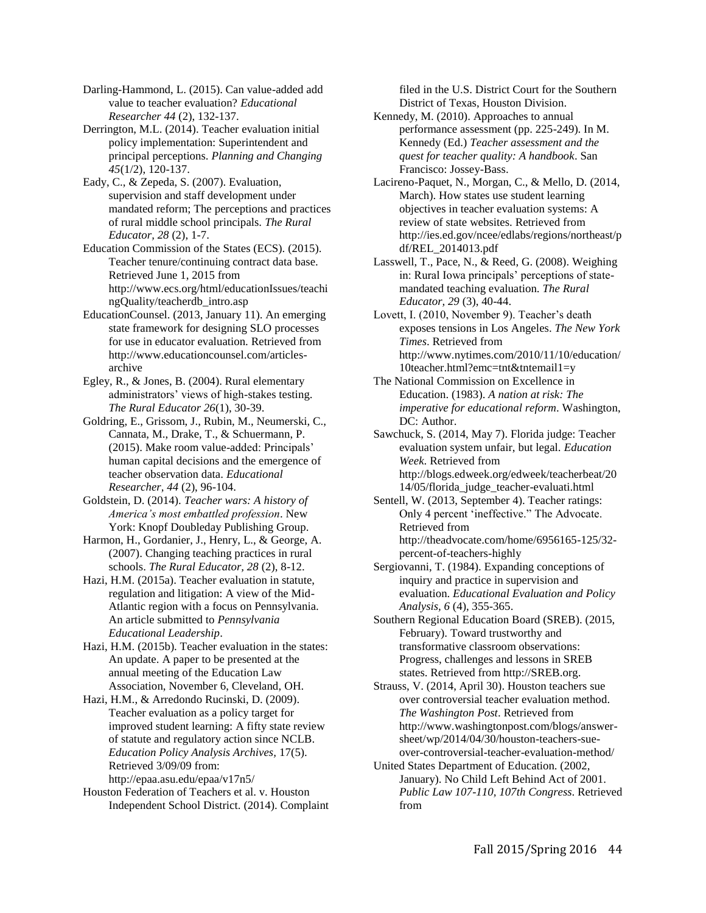Darling-Hammond, L. (2015). Can value-added add value to teacher evaluation? *Educational Researcher 44* (2), 132-137.

Derrington, M.L. (2014). Teacher evaluation initial policy implementation: Superintendent and principal perceptions. *Planning and Changing 45*(1/2), 120-137.

Eady, C., & Zepeda, S. (2007). Evaluation, supervision and staff development under mandated reform; The perceptions and practices of rural middle school principals. *The Rural Educator, 28* (2), 1-7.

Education Commission of the States (ECS). (2015). Teacher tenure/continuing contract data base. Retrieved June 1, 2015 from http://www.ecs.org/html/educationIssues/teachi ngQuality/teacherdb\_intro.asp

EducationCounsel. (2013, January 11). An emerging state framework for designing SLO processes for use in educator evaluation. Retrieved from http://www.educationcounsel.com/articlesarchive

Egley, R., & Jones, B. (2004). Rural elementary administrators' views of high-stakes testing. *The Rural Educator 26*(1), 30-39.

Goldring, E., Grissom, J., Rubin, M., Neumerski, C., Cannata, M., Drake, T., & Schuermann, P. (2015). Make room value-added: Principals' human capital decisions and the emergence of teacher observation data. *Educational Researcher, 44* (2), 96-104.

Goldstein, D. (2014). *Teacher wars: A history of America's most embattled profession*. New York: Knopf Doubleday Publishing Group.

Harmon, H., Gordanier, J., Henry, L., & George, A. (2007). Changing teaching practices in rural schools. *The Rural Educator, 28* (2), 8-12.

Hazi, H.M. (2015a). Teacher evaluation in statute, regulation and litigation: A view of the Mid-Atlantic region with a focus on Pennsylvania. An article submitted to *Pennsylvania Educational Leadership*.

Hazi, H.M. (2015b). Teacher evaluation in the states: An update. A paper to be presented at the annual meeting of the Education Law Association, November 6, Cleveland, OH.

Hazi, H.M., & Arredondo Rucinski, D. (2009). Teacher evaluation as a policy target for improved student learning: A fifty state review of statute and regulatory action since NCLB. *Education Policy Analysis Archives,* 17(5). Retrieved 3/09/09 from: http://epaa.asu.edu/epaa/v17n5/

Houston Federation of Teachers et al. v. Houston Independent School District. (2014). Complaint

filed in the U.S. District Court for the Southern District of Texas, Houston Division.

Kennedy, M. (2010). Approaches to annual performance assessment (pp. 225-249). In M. Kennedy (Ed.) *Teacher assessment and the quest for teacher quality: A handbook*. San Francisco: Jossey-Bass.

Lacireno-Paquet, N., Morgan, C., & Mello, D. (2014, March). How states use student learning objectives in teacher evaluation systems: A review of state websites. Retrieved from http://ies.ed.gov/ncee/edlabs/regions/northeast/p df/REL\_2014013.pdf

Lasswell, T., Pace, N., & Reed, G. (2008). Weighing in: Rural Iowa principals' perceptions of statemandated teaching evaluation. *The Rural Educator, 29* (3), 40-44.

Lovett, I. (2010, November 9). Teacher's death exposes tensions in Los Angeles. *The New York Times*. Retrieved from http://www.nytimes.com/2010/11/10/education/ 10teacher.html?emc=tnt&tntemail1=y

The National Commission on Excellence in Education. (1983). *A nation at risk: The imperative for educational reform*. Washington, DC: Author.

Sawchuck, S. (2014, May 7). Florida judge: Teacher evaluation system unfair, but legal. *Education Week*. Retrieved from http://blogs.edweek.org/edweek/teacherbeat/20

14/05/florida\_judge\_teacher-evaluati.html Sentell, W. (2013, September 4). Teacher ratings: Only 4 percent 'ineffective." The Advocate. Retrieved from http://theadvocate.com/home/6956165-125/32 percent-of-teachers-highly

Sergiovanni, T. (1984). Expanding conceptions of inquiry and practice in supervision and evaluation. *Educational Evaluation and Policy Analysis, 6* (4), 355-365.

Southern Regional Education Board (SREB). (2015, February). Toward trustworthy and transformative classroom observations: Progress, challenges and lessons in SREB states. Retrieved from http://SREB.org.

Strauss, V. (2014, April 30). Houston teachers sue over controversial teacher evaluation method. *The Washington Post*. Retrieved from http://www.washingtonpost.com/blogs/answersheet/wp/2014/04/30/houston-teachers-sueover-controversial-teacher-evaluation-method/

United States Department of Education. (2002, January). No Child Left Behind Act of 2001. *Public Law 107-110, 107th Congress*. Retrieved from